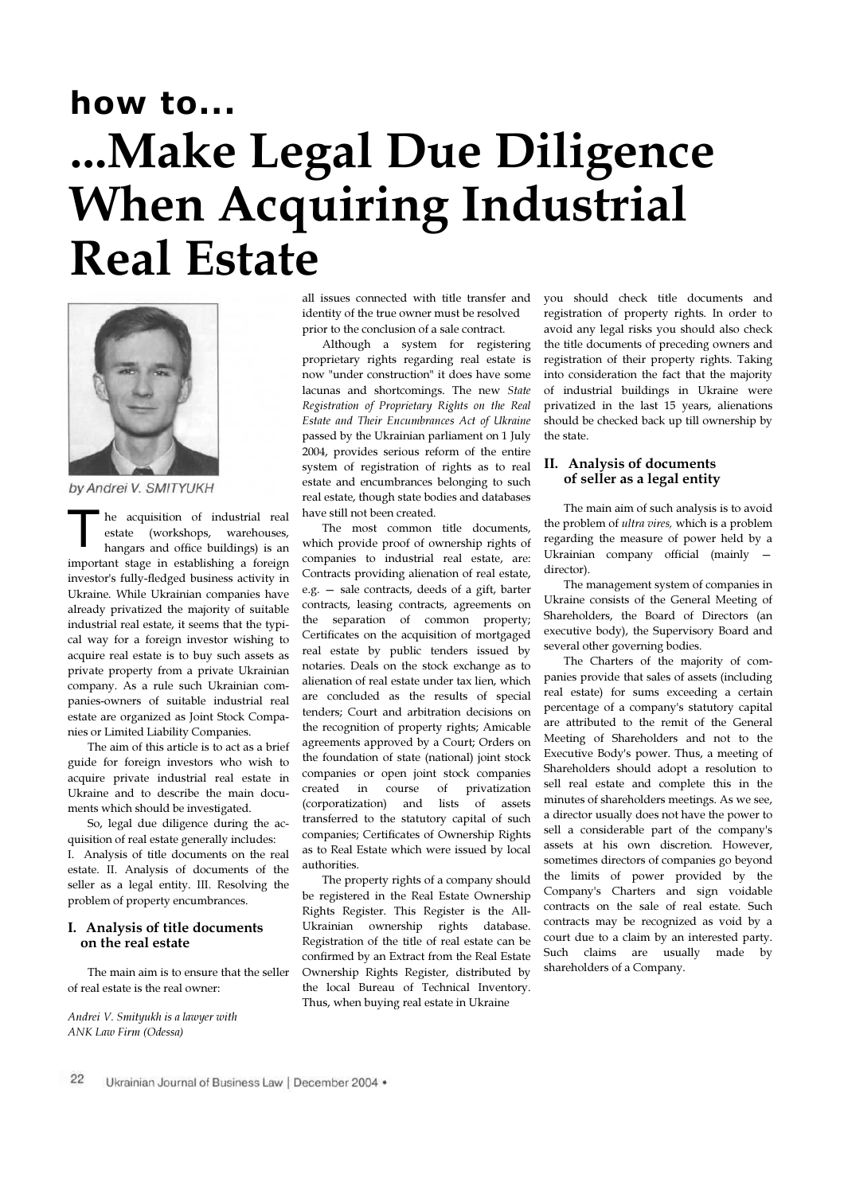## how to... ...Make Legal Due Diligence When Acquiring Industrial Real Estate



by Andrei V. SMITYUKH

he acquisition of industrial real estate (workshops, warehouses, hangars and office buildings) is an important stage in establishing a foreign investor's fully-fledged business activity in Ukraine. While Ukrainian companies have already privatized the majority of suitable industrial real estate, it seems that the typical way for a foreign investor wishing to acquire real estate is to buy such assets as private property from a private Ukrainian company. As a rule such Ukrainian companies-owners of suitable industrial real estate are organized as Joint Stock Companies or Limited Liability Companies. T

The aim of this article is to act as a brief guide for foreign investors who wish to acquire private industrial real estate in Ukraine and to describe the main documents which should be investigated.

So, legal due diligence during the acquisition of real estate generally includes: I. Analysis of title documents on the real estate. II. Analysis of documents of the seller as a legal entity. III. Resolving the problem of property encumbrances.

## I. Analysis of title documents on the real estate

The main aim is to ensure that the seller of real estate is the real owner:

Andrei V. Smityukh is a lawyer with ANK Law Firm (Odessa)

all issues connected with title transfer and identity of the true owner must be resolved prior to the conclusion of a sale contract.

Although a system for registering proprietary rights regarding real estate is now "under construction" it does have some lacunas and shortcomings. The new State Registration of Proprietary Rights on the Real Estate and Their Encumbrances Act of Ukraine passed by the Ukrainian parliament on 1 July 2004, provides serious reform of the entire system of registration of rights as to real estate and encumbrances belonging to such real estate, though state bodies and databases have still not been created.

The most common title documents, which provide proof of ownership rights of companies to industrial real estate, are: Contracts providing alienation of real estate, e.g. — sale contracts, deeds of a gift, barter contracts, leasing contracts, agreements on the separation of common property; Certificates on the acquisition of mortgaged real estate by public tenders issued by notaries. Deals on the stock exchange as to alienation of real estate under tax lien, which are concluded as the results of special tenders; Court and arbitration decisions on the recognition of property rights; Amicable agreements approved by a Court; Orders on the foundation of state (national) joint stock companies or open joint stock companies created in course of privatization (corporatization) and lists of assets transferred to the statutory capital of such companies; Certificates of Ownership Rights as to Real Estate which were issued by local authorities.

The property rights of a company should be registered in the Real Estate Ownership Rights Register. This Register is the All-Ukrainian ownership rights database. Registration of the title of real estate can be confirmed by an Extract from the Real Estate Ownership Rights Register, distributed by the local Bureau of Technical Inventory. Thus, when buying real estate in Ukraine

you should check title documents and registration of property rights. In order to avoid any legal risks you should also check the title documents of preceding owners and registration of their property rights. Taking into consideration the fact that the majority of industrial buildings in Ukraine were privatized in the last 15 years, alienations should be checked back up till ownership by the state.

## II. Analysis of documents of seller as a legal entity

The main aim of such analysis is to avoid the problem of ultra vires, which is a problem regarding the measure of power held by a Ukrainian company official (mainly director).

The management system of companies in Ukraine consists of the General Meeting of Shareholders, the Board of Directors (an executive body), the Supervisory Board and several other governing bodies.

The Charters of the majority of companies provide that sales of assets (including real estate) for sums exceeding a certain percentage of a company's statutory capital are attributed to the remit of the General Meeting of Shareholders and not to the Executive Body's power. Thus, a meeting of Shareholders should adopt a resolution to sell real estate and complete this in the minutes of shareholders meetings. As we see, a director usually does not have the power to sell a considerable part of the company's assets at his own discretion. However, sometimes directors of companies go beyond the limits of power provided by the Company's Charters and sign voidable contracts on the sale of real estate. Such contracts may be recognized as void by a court due to a claim by an interested party. Such claims are usually made by shareholders of a Company.